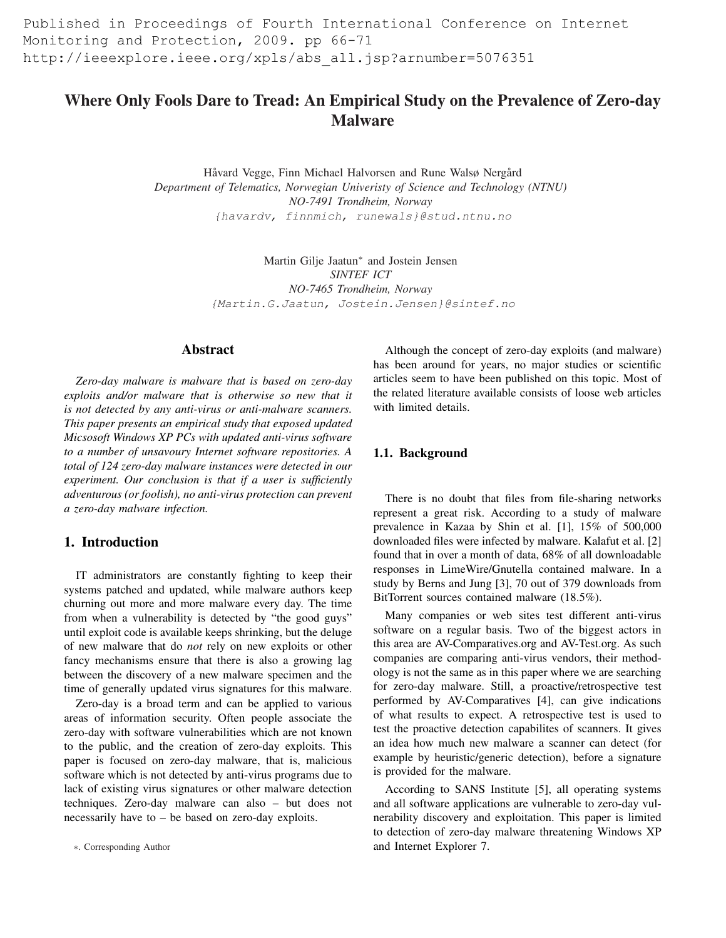Published in Proceedings of Fourth International Conference on Internet Monitoring and Protection, 2009. pp 66-71 http://ieeexplore.ieee.org/xpls/abs\_all.jsp?arnumber=5076351

# Where Only Fools Dare to Tread: An Empirical Study on the Prevalence of Zero-day Malware

Håvard Vegge, Finn Michael Halvorsen and Rune Walsø Nergård *Department of Telematics, Norwegian Univeristy of Science and Technology (NTNU) NO-7491 Trondheim, Norway* {havardv, finnmich, runewals}@stud.ntnu.no

> Martin Gilje Jaatun<sup>∗</sup> and Jostein Jensen *SINTEF ICT NO-7465 Trondheim, Norway* {Martin.G.Jaatun, Jostein.Jensen}@sintef.no

### Abstract

*Zero-day malware is malware that is based on zero-day exploits and/or malware that is otherwise so new that it is not detected by any anti-virus or anti-malware scanners. This paper presents an empirical study that exposed updated Micsosoft Windows XP PCs with updated anti-virus software to a number of unsavoury Internet software repositories. A total of 124 zero-day malware instances were detected in our experiment. Our conclusion is that if a user is sufficiently adventurous (or foolish), no anti-virus protection can prevent a zero-day malware infection.*

# 1. Introduction

IT administrators are constantly fighting to keep their systems patched and updated, while malware authors keep churning out more and more malware every day. The time from when a vulnerability is detected by "the good guys" until exploit code is available keeps shrinking, but the deluge of new malware that do *not* rely on new exploits or other fancy mechanisms ensure that there is also a growing lag between the discovery of a new malware specimen and the time of generally updated virus signatures for this malware.

Zero-day is a broad term and can be applied to various areas of information security. Often people associate the zero-day with software vulnerabilities which are not known to the public, and the creation of zero-day exploits. This paper is focused on zero-day malware, that is, malicious software which is not detected by anti-virus programs due to lack of existing virus signatures or other malware detection techniques. Zero-day malware can also – but does not necessarily have to – be based on zero-day exploits.

Although the concept of zero-day exploits (and malware) has been around for years, no major studies or scientific articles seem to have been published on this topic. Most of the related literature available consists of loose web articles with limited details.

### 1.1. Background

There is no doubt that files from file-sharing networks represent a great risk. According to a study of malware prevalence in Kazaa by Shin et al. [1], 15% of 500,000 downloaded files were infected by malware. Kalafut et al. [2] found that in over a month of data, 68% of all downloadable responses in LimeWire/Gnutella contained malware. In a study by Berns and Jung [3], 70 out of 379 downloads from BitTorrent sources contained malware (18.5%).

Many companies or web sites test different anti-virus software on a regular basis. Two of the biggest actors in this area are AV-Comparatives.org and AV-Test.org. As such companies are comparing anti-virus vendors, their methodology is not the same as in this paper where we are searching for zero-day malware. Still, a proactive/retrospective test performed by AV-Comparatives [4], can give indications of what results to expect. A retrospective test is used to test the proactive detection capabilites of scanners. It gives an idea how much new malware a scanner can detect (for example by heuristic/generic detection), before a signature is provided for the malware.

According to SANS Institute [5], all operating systems and all software applications are vulnerable to zero-day vulnerability discovery and exploitation. This paper is limited to detection of zero-day malware threatening Windows XP and Internet Explorer 7.

<sup>∗</sup>. Corresponding Author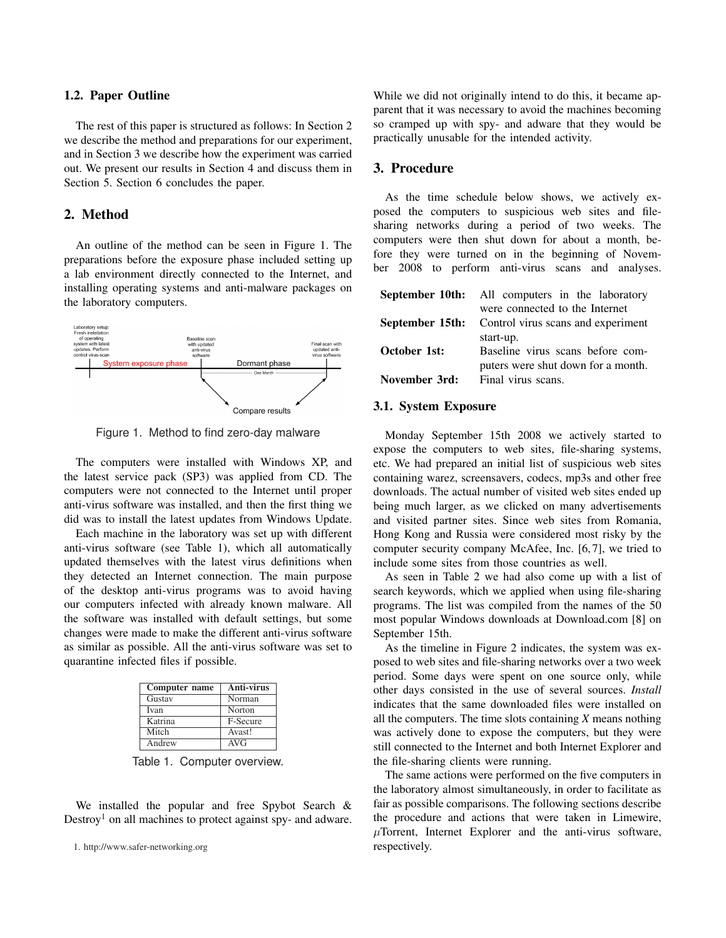### 1.2. Paper Outline

The rest of this paper is structured as follows: In Section 2 we describe the method and preparations for our experiment, and in Section 3 we describe how the experiment was carried out. We present our results in Section 4 and discuss them in Section 5. Section 6 concludes the paper.

# 2. Method

An outline of the method can be seen in Figure 1. The preparations before the exposure phase included setting up a lab environment directly connected to the Internet, and installing operating systems and anti-malware packages on the laboratory computers.



Figure 1. Method to find zero-day malware

The computers were installed with Windows XP, and the latest service pack (SP3) was applied from CD. The computers were not connected to the Internet until proper anti-virus software was installed, and then the first thing we did was to install the latest updates from Windows Update.

Each machine in the laboratory was set up with different anti-virus software (see Table 1), which all automatically updated themselves with the latest virus definitions when they detected an Internet connection. The main purpose of the desktop anti-virus programs was to avoid having our computers infected with already known malware. All the software was installed with default settings, but some changes were made to make the different anti-virus software as similar as possible. All the anti-virus software was set to quarantine infected files if possible.

| Computer name               | <b>Anti-virus</b> |  |
|-----------------------------|-------------------|--|
| Gustav                      | Norman            |  |
| Ivan                        | Norton            |  |
| Katrina                     | F-Secure          |  |
| Mitch                       | Avast!            |  |
| $\overline{\text{And}}$ rew | AVG               |  |

Table 1. Computer overview.

We installed the popular and free Spybot Search & Destroy<sup>1</sup> on all machines to protect against spy- and adware. While we did not originally intend to do this, it became apparent that it was necessary to avoid the machines becoming so cramped up with spy- and adware that they would be practically unusable for the intended activity.

### 3. Procedure

As the time schedule below shows, we actively exposed the computers to suspicious web sites and filesharing networks during a period of two weeks. The computers were then shut down for about a month, before they were turned on in the beginning of November 2008 to perform anti-virus scans and analyses.

|               | September 10th: All computers in the laboratory           |  |
|---------------|-----------------------------------------------------------|--|
|               | were connected to the Internet                            |  |
|               | <b>September 15th:</b> Control virus scans and experiment |  |
|               | start-up.                                                 |  |
| October 1st:  | Baseline virus scans before com-                          |  |
|               | puters were shut down for a month.                        |  |
| November 3rd: | Final virus scans.                                        |  |
|               |                                                           |  |

#### 3.1. System Exposure

Monday September 15th 2008 we actively started to expose the computers to web sites, file-sharing systems, etc. We had prepared an initial list of suspicious web sites containing warez, screensavers, codecs, mp3s and other free downloads. The actual number of visited web sites ended up being much larger, as we clicked on many advertisements and visited partner sites. Since web sites from Romania, Hong Kong and Russia were considered most risky by the computer security company McAfee, Inc. [6,7], we tried to include some sites from those countries as well.

As seen in Table 2 we had also come up with a list of search keywords, which we applied when using file-sharing programs. The list was compiled from the names of the 50 most popular Windows downloads at Download.com [8] on September 15th.

As the timeline in Figure 2 indicates, the system was exposed to web sites and file-sharing networks over a two week period. Some days were spent on one source only, while other days consisted in the use of several sources. *Install* indicates that the same downloaded files were installed on all the computers. The time slots containing *X* means nothing was actively done to expose the computers, but they were still connected to the Internet and both Internet Explorer and the file-sharing clients were running.

The same actions were performed on the five computers in the laboratory almost simultaneously, in order to facilitate as fair as possible comparisons. The following sections describe the procedure and actions that were taken in Limewire,  $\mu$ Torrent, Internet Explorer and the anti-virus software, respectively.

<sup>1.</sup> http://www.safer-networking.org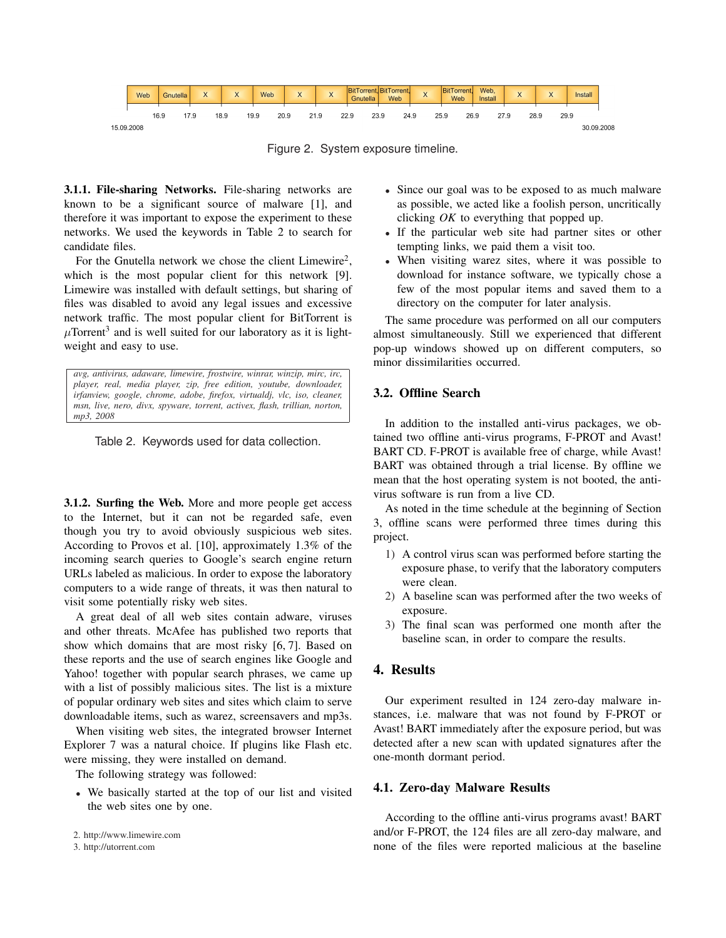

Figure 2. System exposure timeline.

3.1.1. File-sharing Networks. File-sharing networks are known to be a significant source of malware [1], and therefore it was important to expose the experiment to these networks. We used the keywords in Table 2 to search for candidate files.

For the Gnutella network we chose the client Limewire<sup>2</sup>, which is the most popular client for this network [9]. Limewire was installed with default settings, but sharing of files was disabled to avoid any legal issues and excessive network traffic. The most popular client for BitTorrent is  $\mu$ Torrent<sup>3</sup> and is well suited for our laboratory as it is lightweight and easy to use.

*avg, antivirus, adaware, limewire, frostwire, winrar, winzip, mirc, irc, player, real, media player, zip, free edition, youtube, downloader, irfanview, google, chrome, adobe, firefox, virtualdj, vlc, iso, cleaner, msn, live, nero, divx, spyware, torrent, activex, flash, trillian, norton, mp3, 2008*

Table 2. Keywords used for data collection.

3.1.2. Surfing the Web. More and more people get access to the Internet, but it can not be regarded safe, even though you try to avoid obviously suspicious web sites. According to Provos et al. [10], approximately 1.3% of the incoming search queries to Google's search engine return URLs labeled as malicious. In order to expose the laboratory computers to a wide range of threats, it was then natural to visit some potentially risky web sites.

A great deal of all web sites contain adware, viruses and other threats. McAfee has published two reports that show which domains that are most risky [6, 7]. Based on these reports and the use of search engines like Google and Yahoo! together with popular search phrases, we came up with a list of possibly malicious sites. The list is a mixture of popular ordinary web sites and sites which claim to serve downloadable items, such as warez, screensavers and mp3s.

When visiting web sites, the integrated browser Internet Explorer 7 was a natural choice. If plugins like Flash etc. were missing, they were installed on demand.

The following strategy was followed:

• We basically started at the top of our list and visited the web sites one by one.

- Since our goal was to be exposed to as much malware as possible, we acted like a foolish person, uncritically clicking *OK* to everything that popped up.
- If the particular web site had partner sites or other tempting links, we paid them a visit too.
- When visiting warez sites, where it was possible to download for instance software, we typically chose a few of the most popular items and saved them to a directory on the computer for later analysis.

The same procedure was performed on all our computers almost simultaneously. Still we experienced that different pop-up windows showed up on different computers, so minor dissimilarities occurred.

# 3.2. Offline Search

In addition to the installed anti-virus packages, we obtained two offline anti-virus programs, F-PROT and Avast! BART CD. F-PROT is available free of charge, while Avast! BART was obtained through a trial license. By offline we mean that the host operating system is not booted, the antivirus software is run from a live CD.

As noted in the time schedule at the beginning of Section 3, offline scans were performed three times during this project.

- 1) A control virus scan was performed before starting the exposure phase, to verify that the laboratory computers were clean.
- 2) A baseline scan was performed after the two weeks of exposure.
- 3) The final scan was performed one month after the baseline scan, in order to compare the results.

# 4. Results

Our experiment resulted in 124 zero-day malware instances, i.e. malware that was not found by F-PROT or Avast! BART immediately after the exposure period, but was detected after a new scan with updated signatures after the one-month dormant period.

### 4.1. Zero-day Malware Results

According to the offline anti-virus programs avast! BART and/or F-PROT, the 124 files are all zero-day malware, and none of the files were reported malicious at the baseline

<sup>2.</sup> http://www.limewire.com

<sup>3.</sup> http://utorrent.com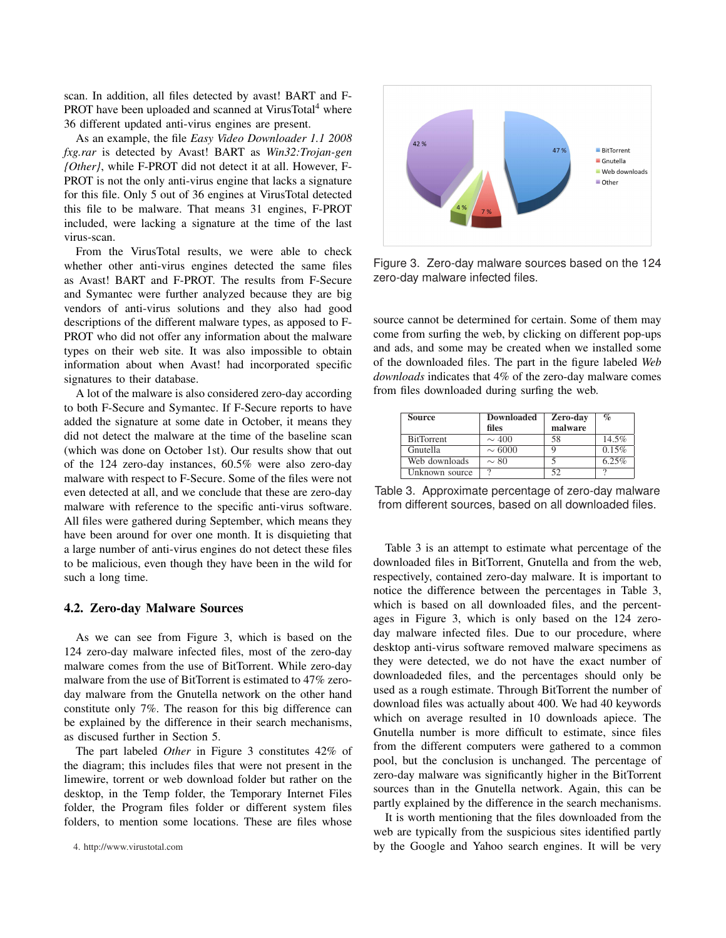scan. In addition, all files detected by avast! BART and F-PROT have been uploaded and scanned at VirusTotal<sup>4</sup> where 36 different updated anti-virus engines are present.

As an example, the file *Easy Video Downloader 1.1 2008 fxg.rar* is detected by Avast! BART as *Win32:Trojan-gen {Other}*, while F-PROT did not detect it at all. However, F-PROT is not the only anti-virus engine that lacks a signature for this file. Only 5 out of 36 engines at VirusTotal detected this file to be malware. That means 31 engines, F-PROT included, were lacking a signature at the time of the last virus-scan.

From the VirusTotal results, we were able to check whether other anti-virus engines detected the same files as Avast! BART and F-PROT. The results from F-Secure and Symantec were further analyzed because they are big vendors of anti-virus solutions and they also had good descriptions of the different malware types, as apposed to F-PROT who did not offer any information about the malware types on their web site. It was also impossible to obtain information about when Avast! had incorporated specific signatures to their database.

A lot of the malware is also considered zero-day according to both F-Secure and Symantec. If F-Secure reports to have added the signature at some date in October, it means they did not detect the malware at the time of the baseline scan (which was done on October 1st). Our results show that out of the 124 zero-day instances, 60.5% were also zero-day malware with respect to F-Secure. Some of the files were not even detected at all, and we conclude that these are zero-day malware with reference to the specific anti-virus software. All files were gathered during September, which means they have been around for over one month. It is disquieting that a large number of anti-virus engines do not detect these files to be malicious, even though they have been in the wild for such a long time.

### 4.2. Zero-day Malware Sources

As we can see from Figure 3, which is based on the 124 zero-day malware infected files, most of the zero-day malware comes from the use of BitTorrent. While zero-day malware from the use of BitTorrent is estimated to 47% zeroday malware from the Gnutella network on the other hand constitute only 7%. The reason for this big difference can be explained by the difference in their search mechanisms, as discused further in Section 5.

The part labeled *Other* in Figure 3 constitutes 42% of the diagram; this includes files that were not present in the limewire, torrent or web download folder but rather on the desktop, in the Temp folder, the Temporary Internet Files folder, the Program files folder or different system files folders, to mention some locations. These are files whose





Figure 3. Zero-day malware sources based on the 124 zero-day malware infected files.

source cannot be determined for certain. Some of them may come from surfing the web, by clicking on different pop-ups and ads, and some may be created when we installed some of the downloaded files. The part in the figure labeled *Web downloads* indicates that 4% of the zero-day malware comes from files downloaded during surfing the web.

| <b>Source</b>     | <b>Downloaded</b> | Zero-day | $\%$     |
|-------------------|-------------------|----------|----------|
|                   | files             | malware  |          |
| <b>BitTorrent</b> | $\sim$ 400        | 58       | 14.5%    |
| Gnutella          | $\sim 6000$       | Q        | 0.15%    |
| Web downloads     | $\sim 80$         |          | 6.25%    |
| Unknown source    | $\Omega$          | 52       | $\Omega$ |
|                   |                   |          |          |

Table 3. Approximate percentage of zero-day malware from different sources, based on all downloaded files.

Table 3 is an attempt to estimate what percentage of the downloaded files in BitTorrent, Gnutella and from the web, respectively, contained zero-day malware. It is important to notice the difference between the percentages in Table 3, which is based on all downloaded files, and the percentages in Figure 3, which is only based on the 124 zeroday malware infected files. Due to our procedure, where desktop anti-virus software removed malware specimens as they were detected, we do not have the exact number of downloadeded files, and the percentages should only be used as a rough estimate. Through BitTorrent the number of download files was actually about 400. We had 40 keywords which on average resulted in 10 downloads apiece. The Gnutella number is more difficult to estimate, since files from the different computers were gathered to a common pool, but the conclusion is unchanged. The percentage of zero-day malware was significantly higher in the BitTorrent sources than in the Gnutella network. Again, this can be partly explained by the difference in the search mechanisms.

It is worth mentioning that the files downloaded from the web are typically from the suspicious sites identified partly by the Google and Yahoo search engines. It will be very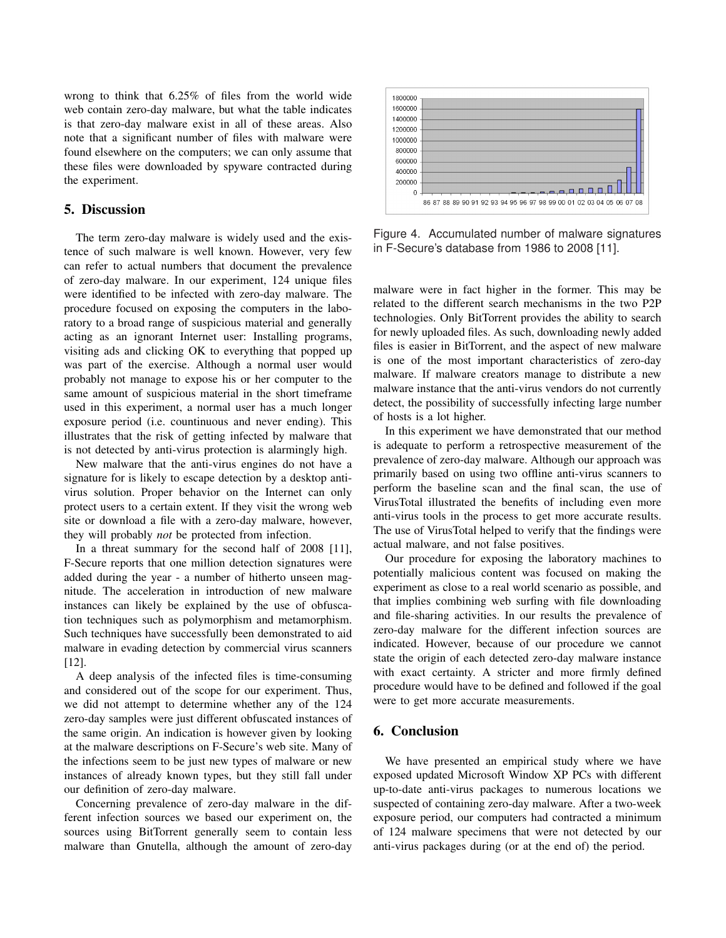wrong to think that 6.25% of files from the world wide web contain zero-day malware, but what the table indicates is that zero-day malware exist in all of these areas. Also note that a significant number of files with malware were found elsewhere on the computers; we can only assume that these files were downloaded by spyware contracted during the experiment.

### 5. Discussion

The term zero-day malware is widely used and the existence of such malware is well known. However, very few can refer to actual numbers that document the prevalence of zero-day malware. In our experiment, 124 unique files were identified to be infected with zero-day malware. The procedure focused on exposing the computers in the laboratory to a broad range of suspicious material and generally acting as an ignorant Internet user: Installing programs, visiting ads and clicking OK to everything that popped up was part of the exercise. Although a normal user would probably not manage to expose his or her computer to the same amount of suspicious material in the short timeframe used in this experiment, a normal user has a much longer exposure period (i.e. countinuous and never ending). This illustrates that the risk of getting infected by malware that is not detected by anti-virus protection is alarmingly high.

New malware that the anti-virus engines do not have a signature for is likely to escape detection by a desktop antivirus solution. Proper behavior on the Internet can only protect users to a certain extent. If they visit the wrong web site or download a file with a zero-day malware, however, they will probably *not* be protected from infection.

In a threat summary for the second half of 2008 [11], F-Secure reports that one million detection signatures were added during the year - a number of hitherto unseen magnitude. The acceleration in introduction of new malware instances can likely be explained by the use of obfuscation techniques such as polymorphism and metamorphism. Such techniques have successfully been demonstrated to aid malware in evading detection by commercial virus scanners [12].

A deep analysis of the infected files is time-consuming and considered out of the scope for our experiment. Thus, we did not attempt to determine whether any of the 124 zero-day samples were just different obfuscated instances of the same origin. An indication is however given by looking at the malware descriptions on F-Secure's web site. Many of the infections seem to be just new types of malware or new instances of already known types, but they still fall under our definition of zero-day malware.

Concerning prevalence of zero-day malware in the different infection sources we based our experiment on, the sources using BitTorrent generally seem to contain less malware than Gnutella, although the amount of zero-day



Figure 4. Accumulated number of malware signatures in F-Secure's database from 1986 to 2008 [11].

malware were in fact higher in the former. This may be related to the different search mechanisms in the two P2P technologies. Only BitTorrent provides the ability to search for newly uploaded files. As such, downloading newly added files is easier in BitTorrent, and the aspect of new malware is one of the most important characteristics of zero-day malware. If malware creators manage to distribute a new malware instance that the anti-virus vendors do not currently detect, the possibility of successfully infecting large number of hosts is a lot higher.

In this experiment we have demonstrated that our method is adequate to perform a retrospective measurement of the prevalence of zero-day malware. Although our approach was primarily based on using two offline anti-virus scanners to perform the baseline scan and the final scan, the use of VirusTotal illustrated the benefits of including even more anti-virus tools in the process to get more accurate results. The use of VirusTotal helped to verify that the findings were actual malware, and not false positives.

Our procedure for exposing the laboratory machines to potentially malicious content was focused on making the experiment as close to a real world scenario as possible, and that implies combining web surfing with file downloading and file-sharing activities. In our results the prevalence of zero-day malware for the different infection sources are indicated. However, because of our procedure we cannot state the origin of each detected zero-day malware instance with exact certainty. A stricter and more firmly defined procedure would have to be defined and followed if the goal were to get more accurate measurements.

# 6. Conclusion

We have presented an empirical study where we have exposed updated Microsoft Window XP PCs with different up-to-date anti-virus packages to numerous locations we suspected of containing zero-day malware. After a two-week exposure period, our computers had contracted a minimum of 124 malware specimens that were not detected by our anti-virus packages during (or at the end of) the period.